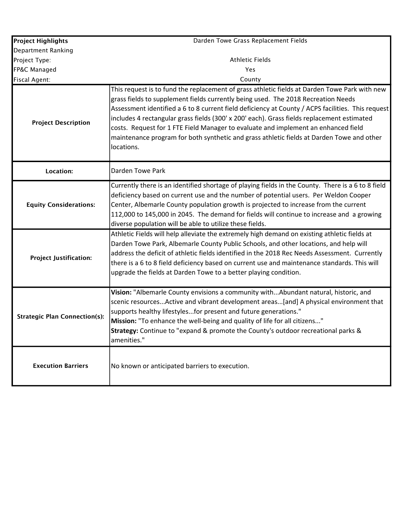| <b>Project Highlights</b>            | Darden Towe Grass Replacement Fields                                                                                                                                                                                                                                                                                                                                                                                                                                                                                                                                                   |
|--------------------------------------|----------------------------------------------------------------------------------------------------------------------------------------------------------------------------------------------------------------------------------------------------------------------------------------------------------------------------------------------------------------------------------------------------------------------------------------------------------------------------------------------------------------------------------------------------------------------------------------|
| Department Ranking                   |                                                                                                                                                                                                                                                                                                                                                                                                                                                                                                                                                                                        |
| Project Type:                        | <b>Athletic Fields</b>                                                                                                                                                                                                                                                                                                                                                                                                                                                                                                                                                                 |
| FP&C Managed                         | Yes                                                                                                                                                                                                                                                                                                                                                                                                                                                                                                                                                                                    |
| <b>Fiscal Agent:</b>                 | County                                                                                                                                                                                                                                                                                                                                                                                                                                                                                                                                                                                 |
| <b>Project Description</b>           | This request is to fund the replacement of grass athletic fields at Darden Towe Park with new<br>grass fields to supplement fields currently being used. The 2018 Recreation Needs<br>Assessment identified a 6 to 8 current field deficiency at County / ACPS facilities. This request<br>includes 4 rectangular grass fields (300' x 200' each). Grass fields replacement estimated<br>costs. Request for 1 FTE Field Manager to evaluate and implement an enhanced field<br>maintenance program for both synthetic and grass athletic fields at Darden Towe and other<br>locations. |
| <b>Location:</b>                     | Darden Towe Park                                                                                                                                                                                                                                                                                                                                                                                                                                                                                                                                                                       |
| <b>Equity Considerations:</b>        | Currently there is an identified shortage of playing fields in the County. There is a 6 to 8 field<br>deficiency based on current use and the number of potential users. Per Weldon Cooper<br>Center, Albemarle County population growth is projected to increase from the current<br>112,000 to 145,000 in 2045. The demand for fields will continue to increase and a growing<br>diverse population will be able to utilize these fields.                                                                                                                                            |
| <b>Project Justification:</b>        | Athletic Fields will help alleviate the extremely high demand on existing athletic fields at<br>Darden Towe Park, Albemarle County Public Schools, and other locations, and help will<br>address the deficit of athletic fields identified in the 2018 Rec Needs Assessment. Currently<br>there is a 6 to 8 field deficiency based on current use and maintenance standards. This will<br>upgrade the fields at Darden Towe to a better playing condition.                                                                                                                             |
| <b>Strategic Plan Connection(s):</b> | Vision: "Albemarle County envisions a community withAbundant natural, historic, and<br>scenic resourcesActive and vibrant development areas[and] A physical environment that<br>supports healthy lifestylesfor present and future generations."<br>Mission: "To enhance the well-being and quality of life for all citizens"<br>Strategy: Continue to "expand & promote the County's outdoor recreational parks &<br>amenities."                                                                                                                                                       |
| <b>Execution Barriers</b>            | No known or anticipated barriers to execution.                                                                                                                                                                                                                                                                                                                                                                                                                                                                                                                                         |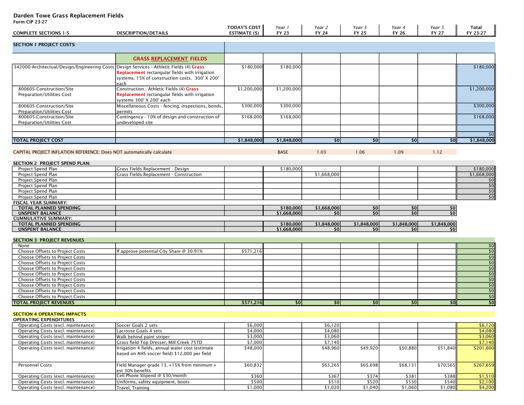# Darden Towe Grass Replacement Fields

Form CIP 23-27

| <b>COMPLETE SECTIONS 1-5</b>                                                             | <b>DESCRIPTION/DETAILS</b>                                                                        | <b>TODAY'S COST</b><br><b>ESTIMATE (\$)</b> | Year 1<br><b>FY 23</b>   | Year 2<br><b>FY 24</b> | Year 3<br><b>FY 25</b> | Year 4<br><b>FY 26</b> | Year 5<br><b>FY 27</b> | Total<br>FY 23-27              |
|------------------------------------------------------------------------------------------|---------------------------------------------------------------------------------------------------|---------------------------------------------|--------------------------|------------------------|------------------------|------------------------|------------------------|--------------------------------|
|                                                                                          |                                                                                                   |                                             |                          |                        |                        |                        |                        |                                |
| <b>SECTION 1 PROJECT COSTS:</b>                                                          |                                                                                                   |                                             |                          |                        |                        |                        |                        |                                |
|                                                                                          | <b>GRASS REPLACEMENT FIELDS</b>                                                                   |                                             |                          |                        |                        |                        |                        |                                |
| 342000-Architectual/Design/Engineering Costs Design Services - Athletic Fields (4) Grass |                                                                                                   | \$180,000                                   | \$180,000                |                        |                        |                        |                        | \$180,000                      |
|                                                                                          | Replacement rectangular fields with irrigation                                                    |                                             |                          |                        |                        |                        |                        |                                |
|                                                                                          | systems. 15% of construction costs. 300' X 200'                                                   |                                             |                          |                        |                        |                        |                        |                                |
| 800605-Construction/Site                                                                 | each<br>Construction - Athletic Fields (4) Grass                                                  | \$1,200,000                                 | \$1,200,000              |                        |                        |                        |                        | \$1,200,000                    |
| Preparation/Utilities Cost                                                               | Replacement rectangular fields with irrigation<br>systems 300' X 200' each                        |                                             |                          |                        |                        |                        |                        |                                |
| 800605-Construction/Site                                                                 | Miscellaneous Costs - fencing, inspections, bonds,                                                | \$300,000                                   | \$300,000                |                        |                        |                        |                        | \$300,000                      |
| <b>Preparation/Utilities Cost</b>                                                        | permits                                                                                           |                                             |                          |                        |                        |                        |                        |                                |
| 800605-Construction/Site                                                                 | Contingency - 10% of design and construction of                                                   | \$168,000                                   | \$168,000                |                        |                        |                        |                        | \$168,000                      |
| <b>Preparation/Utilities Cost</b>                                                        | undeveloped site                                                                                  |                                             |                          |                        |                        |                        |                        |                                |
|                                                                                          |                                                                                                   |                                             |                          |                        |                        |                        |                        | \$0                            |
| <b>TOTAL PROJECT COST</b>                                                                |                                                                                                   | \$1,848,000                                 | \$1,848,000              | \$0                    | \$0                    | \$0                    | \$0                    | \$1,848,000                    |
|                                                                                          |                                                                                                   |                                             |                          |                        |                        |                        |                        |                                |
| CAPITAL PROJECT INFLATION REFERENCE: Does NOT automatically calculate                    |                                                                                                   |                                             | <b>BASE</b>              | 1.03                   | 1.06                   | 1.09                   | 1.12                   |                                |
| SECTION 2 PROJECT SPEND PLAN:                                                            |                                                                                                   |                                             |                          |                        |                        |                        |                        |                                |
| Project Spend Plan                                                                       | Grass Fields Replacement - Design                                                                 |                                             | \$180,000                |                        |                        |                        |                        | \$180,000                      |
| Project Spend Plan                                                                       | Grass Fields Replacement - Construction                                                           |                                             |                          | \$1,668,000            |                        |                        |                        | \$1,668,000                    |
| Project Spend Plan                                                                       |                                                                                                   |                                             |                          |                        |                        |                        |                        | \$0                            |
| Project Spend Plan                                                                       |                                                                                                   |                                             |                          |                        |                        |                        |                        | \$0                            |
| Project Spend Plan                                                                       |                                                                                                   |                                             |                          |                        |                        |                        |                        | 50                             |
| Project Spend Plan                                                                       |                                                                                                   |                                             |                          |                        |                        |                        |                        | $\sqrt{50}$                    |
| <b>FISCAL YEAR SUMMARY:</b>                                                              |                                                                                                   |                                             |                          |                        |                        |                        |                        |                                |
| TOTAL PLANNED SPENDING                                                                   |                                                                                                   |                                             | \$180,000                | \$1,668,000            | \$0                    | \$0                    | \$0                    |                                |
| <b>UNSPENT BALANCE</b>                                                                   |                                                                                                   |                                             | \$1,668,000              | \$0                    | \$0                    | 50                     | \$0                    |                                |
| <b>CUMMULATIVE SUMMARY:</b>                                                              |                                                                                                   |                                             |                          |                        |                        |                        |                        |                                |
| TOTAL PLANNED SPENDING                                                                   |                                                                                                   |                                             | \$180,000<br>\$1,668,000 | \$1,848,000<br>\$0     | \$1,848,000<br>\$0     | \$1,848,000<br>\$0     | \$1,848,000            |                                |
| <b>UNSPENT BALANCE</b>                                                                   |                                                                                                   |                                             |                          |                        |                        |                        | \$0                    |                                |
| <b>SECTION 3 PROJECT REVENUES</b>                                                        |                                                                                                   |                                             |                          |                        |                        |                        |                        |                                |
| None                                                                                     |                                                                                                   |                                             |                          |                        |                        |                        |                        | $ $ \$0                        |
| Choose Offsets to Project Costs                                                          | If approve potential City Share @ 30.91%                                                          | \$571,216                                   |                          |                        |                        |                        |                        | $\overline{50}$                |
| <b>Choose Offsets to Project Costs</b>                                                   |                                                                                                   |                                             |                          |                        |                        |                        |                        | $\overline{50}$                |
| Choose Offsets to Project Costs                                                          |                                                                                                   |                                             |                          |                        |                        |                        |                        | 50                             |
| Choose Offsets to Project Costs                                                          |                                                                                                   |                                             |                          |                        |                        |                        |                        | 50                             |
| <b>Choose Offsets to Project Costs</b>                                                   |                                                                                                   |                                             |                          |                        |                        |                        |                        | $\overline{50}$                |
| Choose Offsets to Project Costs                                                          |                                                                                                   |                                             |                          |                        |                        |                        |                        | $\overline{50}$                |
| Choose Offsets to Project Costs                                                          |                                                                                                   |                                             |                          |                        |                        |                        |                        | $\sqrt{50}$<br>$\overline{50}$ |
| Choose Offsets to Project Costs                                                          |                                                                                                   |                                             |                          |                        |                        |                        |                        | $\sqrt{50}$                    |
| Choose Offsets to Project Costs<br><b>TOTAL PROJECT REVENUES</b>                         |                                                                                                   | \$571,216                                   | \$0                      | \$0                    | \$0                    | \$0                    | \$0                    | $\overline{50}$                |
|                                                                                          |                                                                                                   |                                             |                          |                        |                        |                        |                        |                                |
| <b>SECTION 4 OPERATING IMPACTS</b>                                                       |                                                                                                   |                                             |                          |                        |                        |                        |                        |                                |
| <b>OPERATING EXPENDITURES</b>                                                            |                                                                                                   |                                             |                          |                        |                        |                        |                        |                                |
| Operating Costs (excl. maintenance)                                                      | Soccer Goals 2 sets                                                                               | \$6,000                                     |                          | \$6,120                |                        |                        |                        | \$6,120                        |
| Operating Costs (excl. maintenance)                                                      | Lacrosse Goals 4 sets                                                                             | \$4,000                                     |                          | \$4,080                |                        |                        |                        | \$4,080                        |
| Operating Costs (excl. maintenance)                                                      | Walk behind paint striper                                                                         | \$3,000                                     |                          | \$3,060                |                        |                        |                        | \$3,060                        |
| Operating Costs (excl. maintenance)                                                      | Grass field Top Dresser, Mill Creek 75TD                                                          | \$7,000                                     |                          | \$7,140                |                        |                        |                        | \$7,140                        |
| Operating Costs (excl. maintenance)                                                      | Irrigation 4 fields, annual water cost (estimate<br>based on AHS soccer field) \$12,000 per field | \$48,000                                    |                          | \$48,960               | \$49,920               | \$50,880               | \$51,840               | \$201,600                      |
| Personnel Costs                                                                          | Field Manager grade 13, +15% from minimum +<br>est 30% benefits                                   | \$60,832                                    |                          | \$63,265               | \$65,698               | \$68,131               | \$70,565               | \$267,659                      |
| Operating Costs (excl. maintenance)                                                      | Cell Phone Stipend @ \$30/month                                                                   | \$360                                       |                          | \$367                  | \$374                  | \$381                  | \$388                  | \$1,510                        |
| Operating Costs (excl. maintenance)                                                      | Uniforms, safety equipment, boots                                                                 | \$500                                       |                          | \$510                  | \$520                  | \$530                  | \$540                  | \$2,100                        |
| Operating Costs (excl. maintenance)                                                      | Travel, Training                                                                                  | \$1,000                                     |                          | \$1,020                | \$1,040                | \$1,060                | \$1,080                | \$4,200                        |